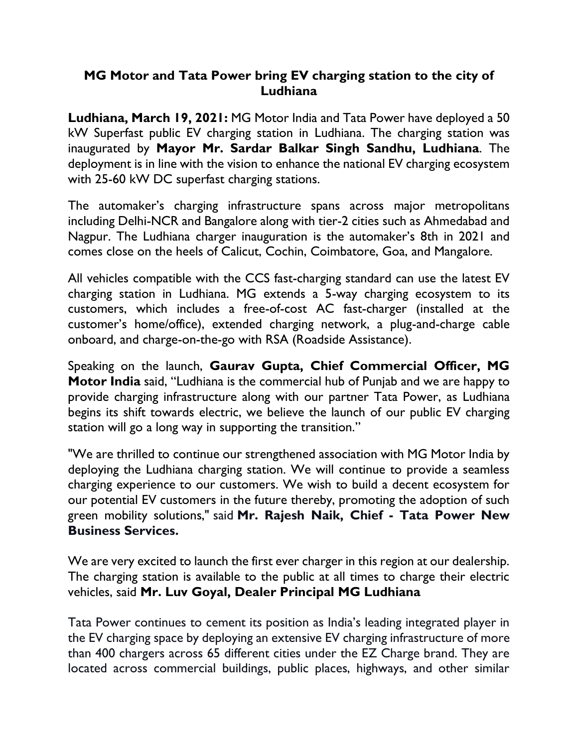## **MG Motor and Tata Power bring EV charging station to the city of Ludhiana**

**Ludhiana, March 19, 2021:** MG Motor India and Tata Power have deployed a 50 kW Superfast public EV charging station in Ludhiana. The charging station was inaugurated by **Mayor Mr. Sardar Balkar Singh Sandhu, Ludhiana**. The deployment is in line with the vision to enhance the national EV charging ecosystem with 25-60 kW DC superfast charging stations.

The automaker's charging infrastructure spans across major metropolitans including Delhi-NCR and Bangalore along with tier-2 cities such as Ahmedabad and Nagpur. The Ludhiana charger inauguration is the automaker's 8th in 2021 and comes close on the heels of Calicut, Cochin, Coimbatore, Goa, and Mangalore.

All vehicles compatible with the CCS fast-charging standard can use the latest EV charging station in Ludhiana. MG extends a 5-way charging ecosystem to its customers, which includes a free-of-cost AC fast-charger (installed at the customer's home/office), extended charging network, a plug-and-charge cable onboard, and charge-on-the-go with RSA (Roadside Assistance).

Speaking on the launch, **Gaurav Gupta, Chief Commercial Officer, MG Motor India** said, "Ludhiana is the commercial hub of Punjab and we are happy to provide charging infrastructure along with our partner Tata Power, as Ludhiana begins its shift towards electric, we believe the launch of our public EV charging station will go a long way in supporting the transition."

"We are thrilled to continue our strengthened association with MG Motor India by deploying the Ludhiana charging station. We will continue to provide a seamless charging experience to our customers. We wish to build a decent ecosystem for our potential EV customers in the future thereby, promoting the adoption of such green mobility solutions," said **Mr. Rajesh Naik, Chief - Tata Power New Business Services.**

We are very excited to launch the first ever charger in this region at our dealership. The charging station is available to the public at all times to charge their electric vehicles, said **Mr. Luv Goyal, Dealer Principal MG Ludhiana**

Tata Power continues to cement its position as India's leading integrated player in the EV charging space by deploying an extensive EV charging infrastructure of more than 400 chargers across 65 different cities under the EZ Charge brand. They are located across commercial buildings, public places, highways, and other similar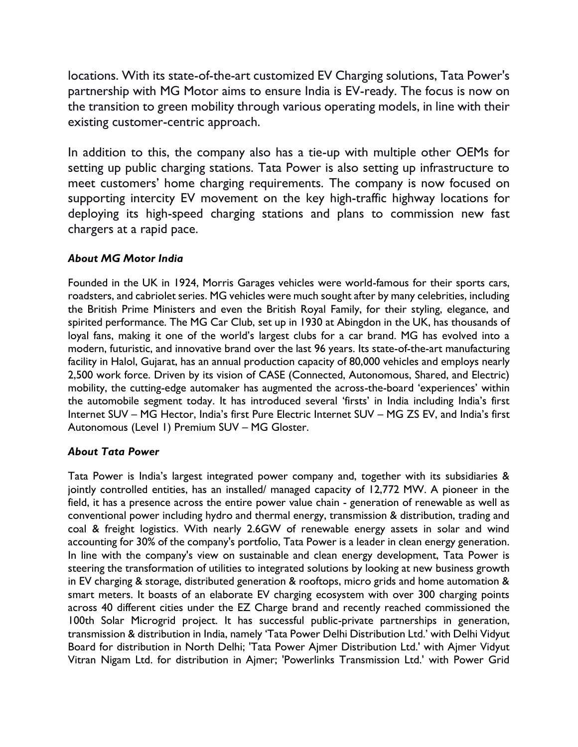locations. With its state-of-the-art customized EV Charging solutions, Tata Power's partnership with MG Motor aims to ensure India is EV-ready. The focus is now on the transition to green mobility through various operating models, in line with their existing customer-centric approach.

In addition to this, the company also has a tie-up with multiple other OEMs for setting up public charging stations. Tata Power is also setting up infrastructure to meet customers' home charging requirements. The company is now focused on supporting intercity EV movement on the key high-traffic highway locations for deploying its high-speed charging stations and plans to commission new fast chargers at a rapid pace.

## *About MG Motor India*

Founded in the UK in 1924, Morris Garages vehicles were world-famous for their sports cars, roadsters, and cabriolet series. MG vehicles were much sought after by many celebrities, including the British Prime Ministers and even the British Royal Family, for their styling, elegance, and spirited performance. The MG Car Club, set up in 1930 at Abingdon in the UK, has thousands of loyal fans, making it one of the world's largest clubs for a car brand. MG has evolved into a modern, futuristic, and innovative brand over the last 96 years. Its state-of-the-art manufacturing facility in Halol, Gujarat, has an annual production capacity of 80,000 vehicles and employs nearly 2,500 work force. Driven by its vision of CASE (Connected, Autonomous, Shared, and Electric) mobility, the cutting-edge automaker has augmented the across-the-board 'experiences' within the automobile segment today. It has introduced several 'firsts' in India including India's first Internet SUV – MG Hector, India's first Pure Electric Internet SUV – MG ZS EV, and India's first Autonomous (Level 1) Premium SUV – MG Gloster.

## *About Tata Power*

Tata Power is India's largest integrated power company and, together with its subsidiaries & jointly controlled entities, has an installed/ managed capacity of 12,772 MW. A pioneer in the field, it has a presence across the entire power value chain - generation of renewable as well as conventional power including hydro and thermal energy, transmission & distribution, trading and coal & freight logistics. With nearly 2.6GW of renewable energy assets in solar and wind accounting for 30% of the company's portfolio, Tata Power is a leader in clean energy generation. In line with the company's view on sustainable and clean energy development, Tata Power is steering the transformation of utilities to integrated solutions by looking at new business growth in EV charging & storage, distributed generation & rooftops, micro grids and home automation & smart meters. It boasts of an elaborate EV charging ecosystem with over 300 charging points across 40 different cities under the EZ Charge brand and recently reached commissioned the 100th Solar Microgrid project. It has successful public-private partnerships in generation, transmission & distribution in India, namely 'Tata Power Delhi Distribution Ltd.' with Delhi Vidyut Board for distribution in North Delhi; 'Tata Power Ajmer Distribution Ltd.' with Ajmer Vidyut Vitran Nigam Ltd. for distribution in Ajmer; 'Powerlinks Transmission Ltd.' with Power Grid